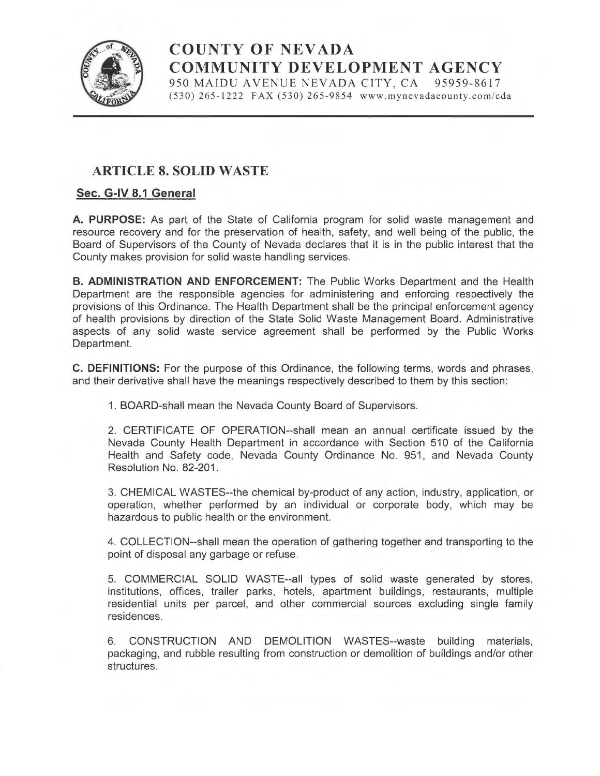

# COUNTY OF NEVADA COMMUNITY DEVELOPMENT AGENCY 950 MAIDU AVENUE NEVADA CITY, CA 95959-8617

 $(530)$  265-1222 FAX  $(530)$  265-9854 www.mynevadacounty.com/cda

# ARTICLE 8. SOLID WASTE

# Sec. G-IV 8.1 General

A. PURPOSE: As part of the State of California program for solid waste management and resource recovery and for the preservation of health, safety, and well being of the public, the Board of Supervisors of the County of Nevada declares that it is in the public interest that the County makes provision for solid waste handling services.

B. ADMINISTRATION AND ENFORCEMENT: The Public Works Department and the Health Department are the responsible agencies for administering and enforcing respectively the provisions of this Ordinance. The Health Department shall be the principal enforcement agency of health provisions by direction of the State Solid Waste Management Board. Administrative aspects of any solid waste service agreement shall be performed by the Public Works Department.

C. DEFINITIONS: For the purpose of this Ordinance, the following terms, words and phrases, and their derivative shall have the meanings respectively described to them by this section:

1. BOARD-shall mean the Nevada County Board of Supervisors.

2. CERTIFICATE OF OPERATION--shall mean an annual certificate issued by the Nevada County Health Department in accordance with Section 510 of the California Health and Safety code, Nevada County Ordinance No. 951, and Nevada County Resolution No. 82-201.

3. CHEMICAL WASTES--the chemical by-product of any action, industry, application, or operation, whether performed by an individual or corporate body, which may be hazardous to public health or the environment.

4. COLLECTION--shall mean the operation of gathering together and transporting to the point of disposal any garbage or refuse.

5. COMMERCIAL SOLID WASTE--all types of solid waste generated by stores, institutions, offices, trailer parks, hotels, apartment buildings, restaurants, multiple residential units per parcel, and other commercial sources excluding single family residences.

6. CONSTRUCTION AND DEMOLITION WASTES--waste building materials, packaging, and rubble resulting from construction or demolition of buildings and/or other structures.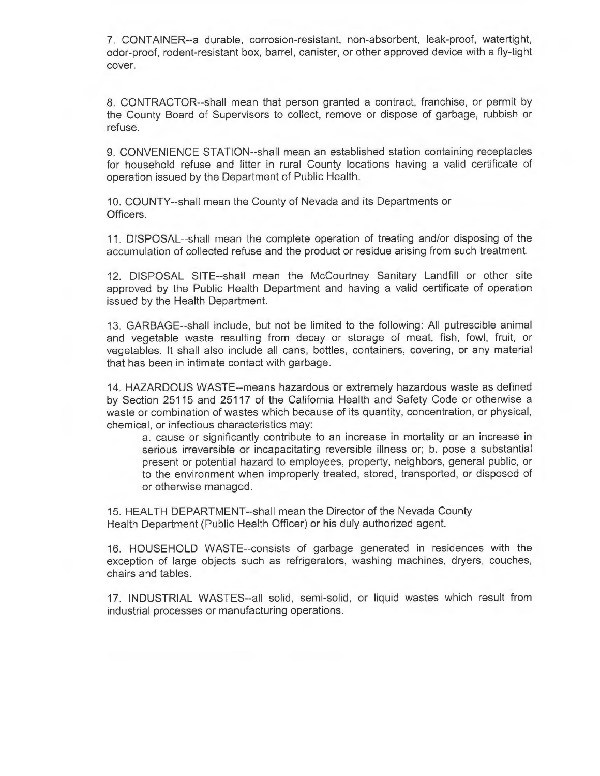7. CONTAINER--a durable, corrosion-resistant, non-absorbent, leak-proof, watertight, odor-proof, rodent-resistant box, barrel, canister, or other approved device with afly-tight cover.

8. CONTRACTOR--shall mean that person granted a contract, franchise, or permit by the County Board of Supervisors to collect, remove or dispose of garbage, rubbish or refuse.

9. CONVENIENCE STATION--shall mean an established station containing receptacles for household refuse and litter in rural County locations having a valid certificate of operation issued by the Department of Public Health.

10. COUNTY--shall mean the County of Nevada and its Departments or Officers.

11. DISPOSAL--shall mean the complete operation of treating and/or disposing of the accumulation of collected refuse and the product or residue arising from such treatment.

12. DISPOSAL SITE--shall mean the McCourtney Sanitary Landfill or other site approved by the Public Health Department and having a valid certificate of operation issued by the Health Department.

13. GARBAGE--shall include, but not be limited to the following: All putrescible animal and vegetable waste resulting from decay or storage of meat, fish, fowl, fruit, or vegetables. It shall also include ail cans, bottles, containers, covering, or any material that has been in intimate contact with garbage.

14. HAZARDOUS WASTE--means hazardous or extremely hazardous waste as defined by Section 25115 and 25117 of the California Health and Safety Code or otherwise <sup>a</sup> waste or combination of wastes which because of its quantity, concentration, or physical, chemical, or infectious characteristics may:

a. cause or significantly contribute to an increase in mortality or an increase in serious irreversible or incapacitating reversible illness or; b. pose a substantial present or potential hazard to employees, property, neighbors, general public, or to the environment when improperly treated, stored, transported, or disposed of or otherwise managed.

15. HEALTH DEPARTMENT--shall mean the Director of the Nevada County Health Department (Public Health Officer) or his duly authorized agent.

16. HOUSEHOLD WASTE--consists of garbage generated in residences with the exception of large objects such as refrigerators, washing machines, dryers, couches, chairs and tables.

17. INDUSTRIAL WASTES--all solid, semi-solid, or liquid wastes which result from industrial processes or manufacturing operations.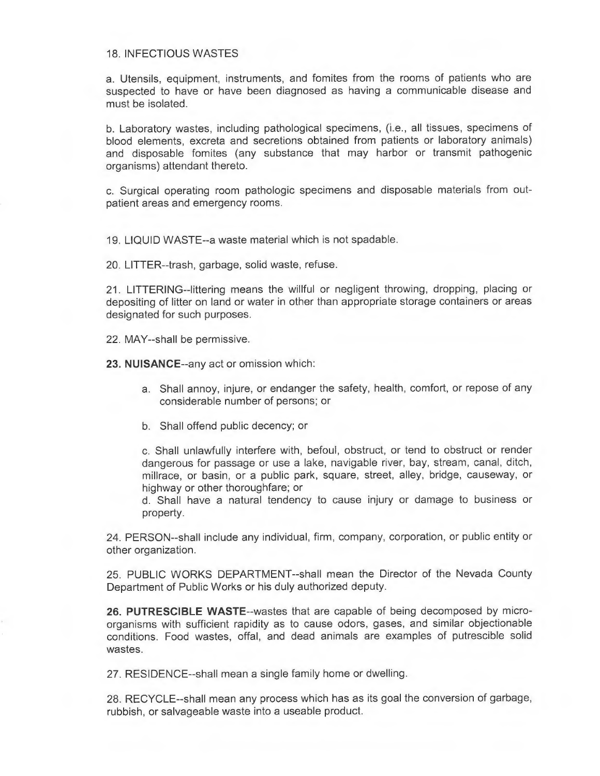#### 18. INFECTIOUS WASTES

a. Utensils, equipment, instruments, and fomites from the rooms of patients who are suspected to have or have been diagnosed as having a communicable disease and must be isolated.

b. Laboratory wastes, including pathological specimens, (i.e., all tissues, specimens of blood elements, excreta and secretions obtained from patients or laboratory animals) and disposable fomites (any substance that may harbor or transmit pathogenic organisms) attendant thereto.

c. Surgical operating room pathologic specimens and disposable materials from outpatient areas and emergency rooms.

19. LIQUID WASTE--a waste material which is not spadable.

20. LITTER--trash, garbage, solid waste, refuse.

21. LITTERING--littering means the willful or negligent throwing, dropping, placing or depositing of litter on land or water in other than appropriate storage containers or areas designated for such purposes..

22. MAY--shall be permissive.

23. NUISANCE--any act or omission which:

- a. Shall annoy, injure, or endanger the safety, health, comfort, or repose of any considerable number of persons; or
- b. Shall offend public decency; or

c. Shall unlawfully interfere with, befoul, obstruct, or tend to obstruct or render dangerous for passage or use a lake, navigable river, bay, stream, canal, ditch, millrace, or basin, or a public park, square, street, alley, bridge, causeway, or highway or other thoroughfare; or

d. Shall have a natural tendency to cause injury or damage to business or property.

24. PERSON--shall include any individual, firm, company, corporation, or public entity or other organization.

25. PUBLIC WORKS DEPARTMENT--shall mean the Director of the Nevada County Department of Public Works or his duly authorized deputy.

26. PUTRESCIBLE WASTE--wastes that are capable of being decomposed by microorganisms with sufficient rapidity as to cause odors, gases, and similar objectionable conditions. Food wastes, offal, and dead animals are examples of putrescible solid wastes.

27. RESIDENCE--shall mean <sup>a</sup>single family home or dwelling.

28. RECYCLE--shall mean any process which has as its goal the conversion of garbage, rubbish, or salvageable waste into a useable product.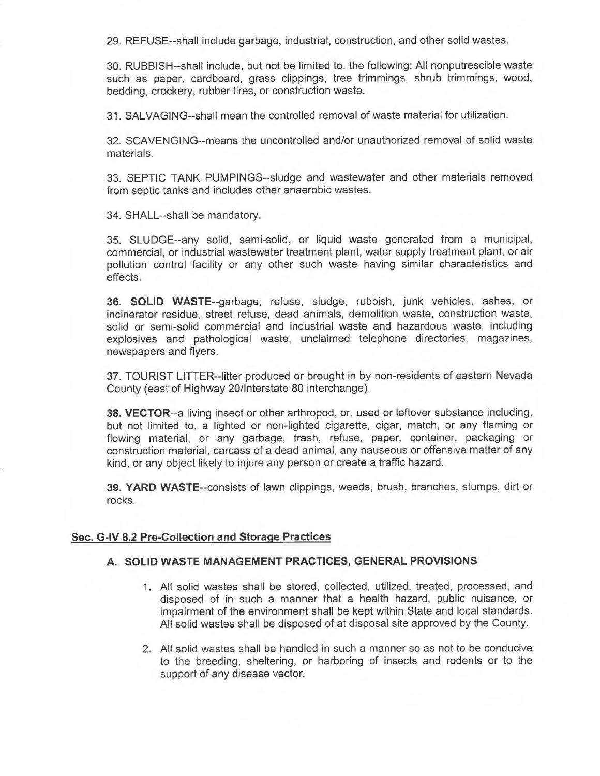29. REFUSE--shall include garbage, industrial, construction, and other solid wastes.

30. RUBBISH--shall include, but not be limited to, the following: All nonputrescible waste such as paper, cardboard, grass clippings, tree trimmings, shrub trimmings, wood, bedding, crockery, rubber tires, or construction waste.

31. SALVAGING--shall mean the controlled removal of waste material for utilization.

32. SCAVENGING--means the uncontrolled and/or unauthorized removal of solid waste materials.

33. SEPTIC TANK PUMPINGS--sludge and wastewater and other materials removed from septic tanks and includes other anaerobic wastes.

34. SHALL--shall be mandatory.

35. SLUDGE--any solid, semi-solid, or liquid waste generated from a municipal, commercial, or industrial wastewater treatment plant, water supply treatment plant, or air pollution control facility or any other such waste having similar characteristics and effects.

36. SOLID WASTE--garbage, refuse, sludge, rubbish, junk vehicles, ashes, or incinerator residue, street refuse, dead animals, demolition waste, construction waste, solid or semi-solid commercial and industrial waste and hazardous waste, including explosives and pathological waste, unclaimed telephone directories, magazines, newspapers and flyers.

37. TOURIST LITTER--litter produced or brought in by non-residents of eastern Nevada County (east of Highway 20/Interstate 80 interchange).

38. VECTOR--a living insect or other arthropod, or, used or leftover substance including, but not limited to, a lighted or non-lighted cigarette, cigar, match, or any flaming or flowing material, or any garbage, trash, refuse, paper, container, packaging or construction material, carcass of a dead animal, any nauseous or offensive matter of any kind, or any object likely to injure any person or create a traffic hazard.

39. YARD WASTE--consists of lawn clippings, weeds, brush, branches, stumps, dirt or rocks.

## Sec. G-IV 8.2 Pre-Collection and Storage Practices

#### A. SOLID WASTE MANAGEMENT PRACTICES, GENERAL PROVISIONS

- All solid wastes shall be stored, collected, utilized, treated, processed, and disposed of in such a manner that a health hazard, public nuisance, or impairment of the environment shall be kept within State and local standards. All solid wastes shall be disposed of at disposal site approved by the County.
- 2. All solid wastes shall be handled in such a manner so as not to be conducive to the breeding, sheltering, or harboring of insects and rodents or to the support of any disease vector.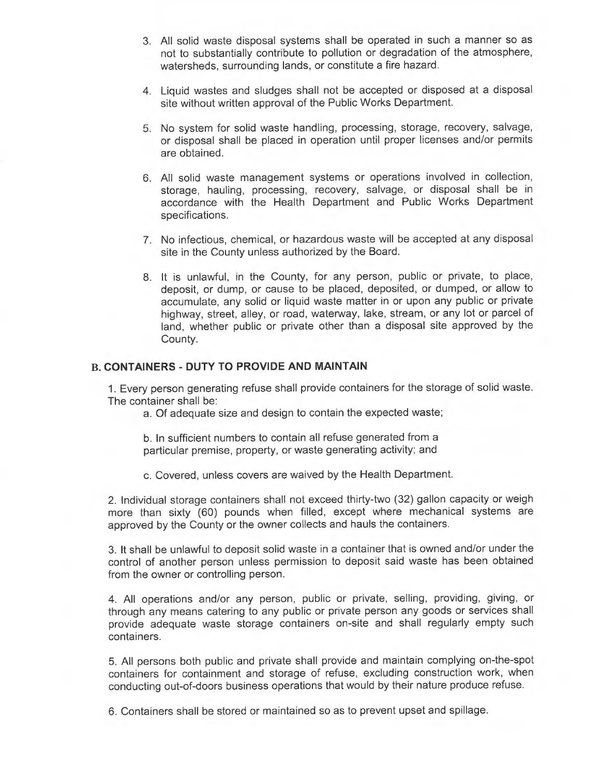- 3. All solid waste disposal systems shall be operated in such a manner so as not to substantially contribute to pollution or degradation of the atmosphere, watersheds, surrounding lands, or constitute a fire hazard.
- 4. Liquid wastes and sludges shall not be accepted or disposed at a disposal site without written approval of the Public Works Department.
- 5. No system for solid waste handling, processing, storage, recovery, salvage, or disposal shall be placed in operation until proper licenses and/or permits are obtained.
- 6. All solid waste management systems or operations involved in collection, storage, hauling, processing, recovery, salvage, or disposal shall be in accordance with the Health Department and Public Works Department specifications.
- 7. No infectious, chemical, or hazardous waste will be accepted at any disposal site in the County unless authorized by the Board.
- 8. It is unlawful, in the County, for any person, public or private, to place, deposit, or dump, or cause to be placed, deposited, or dumped, or allow to accumulate, any solid or liquid waste matter in or upon any public or private highway, street, alley, or road, waterway, lake, stream, or any lot or parcel of land, whether public or private other than a disposal site approved by the County.

#### B. CONTAINERS - DUTY TO PROVIDE AND MAINTAIN

1. Every person generating refuse shall provide containers for the storage of solid waste. The container shall be:

a. Of adequate size and design to contain the expected waste;

b. In sufficient numbers to contain ail refuse generated from <sup>a</sup> particular premise, property, or waste generating activity; and

c. Covered, unless covers are waived by the Health Department.

2. Individual storage containers shall not exceed thirty-two (32) gallon capacity or weigh more than sixty (60) pounds when filled, except where mechanical systems are approved by the County or the owner collects and hauls the containers.

3. It shall be unlawful to deposit solid waste in a container that is owned and/or under the control of another person unless permission to deposit said waste has been obtained from the owner or controlling person.

4. All operations and/or any person, public or private, selling, providing, giving, or through any means catering to any public or private person any goods or services shall provide adequate waste storage containers on-site and shall regularly empty such containers.

5. All persons both public and private shall provide and maintain complying on-the-spot containers for containment and storage of refuse, excluding construction work, when conducting out-of-doors business operations that would by their nature produce refuse.

6. Containers shall be stored or maintained so as to prevent upset and spillage.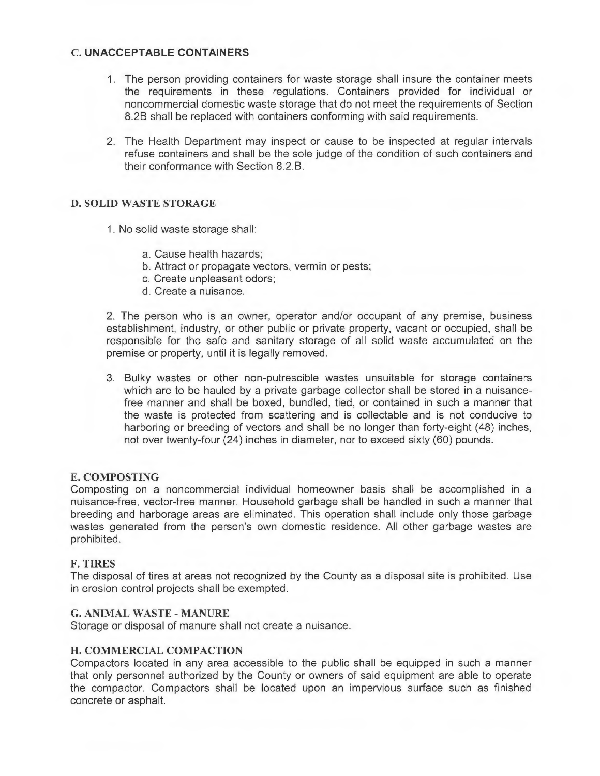# C. UNACCEPTABLE CONTAINERS

- The person providing containers for waste storage shall insure the container meets the requirements in these regulations. Containers provided for individual or noncommercial domestic waste storage that do not meet the requirements of Section 8.2B shall be replaced with containers conforming with said requirements.
- 2. The Health Department may inspect or cause to be inspected at regular intervals refuse containers and shall be the sole judge of the condition of such containers and their conformance with Section 8.2.B.

# D. SOLID WASTE STORAGE

- 1. No solid waste storage shall:
	- a. Cause health hazards;
	- b. Attract or propagate vectors, vermin or pests;
	- c. Create unpleasant odors;
	- d. Create a nuisance.

2. The person who is an owner, operator and/or occupant of any premise, business establishment, industry, or other public or private property, vacant or occupied, shall be responsible for the safe and sanitary storage of all solid waste accumulated on the premise or property, until it is legally removed.

3. Bulky wastes or other non-putrescible wastes unsuitable for storage containers which are to be hauled by a private garbage collector shall be stored in a nuisancefree manner and shall be boxed, bundled, tied, or contained in such a manner that the waste is protected from scattering and is collectable and is not conducive to harboring or breeding of vectors and shall be no longer than forty-eight (48) inches, not over twenty-four (24) inches in diameter, nor to exceed sixty (60) pounds.

## E. COMPOSTING

Composting on a noncommercial individual homeowner basis shall be accomplished in a nuisance-free, vector-free manner. Household garbage shall be handled in such a manner that breeding and harborage areas are eliminated. This operation shall include only those garbage wastes generated from the person's own domestic residence. All other garbage wastes are prohibited.

## F. TIRES

The disposal of tires at areas not recognized by the County as a disposal site is prohibited. Use in erosion control projects shall be exempted.

## G. ANIMAL WASTE - MANURE

Storage or disposal of manure shall not create a nuisance.

## H. COMMERCIAL COMPACTION

Compactors located in any area accessible to the public shall be equipped in such a manner that only personnel authorized by the County or owners of said equipment are able to operate the compactor. Compactors shall be located upon an impervious surface such as finished concrete or asphalt.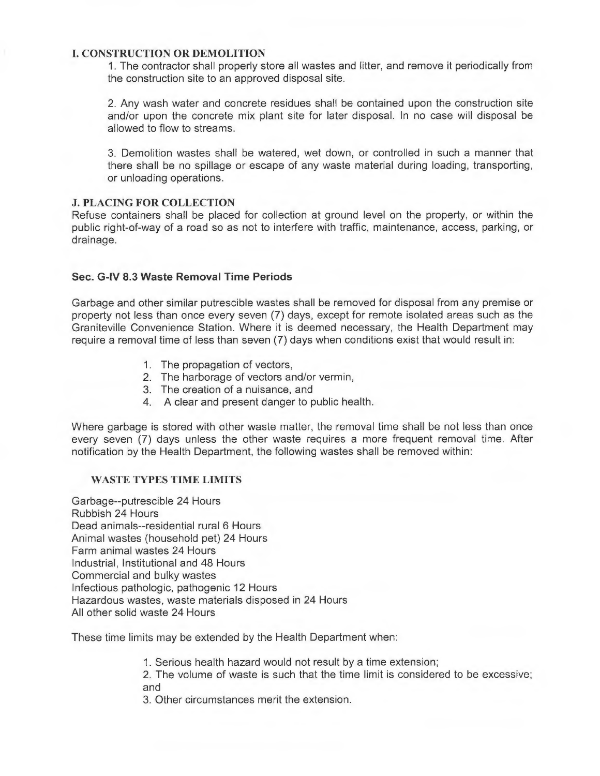#### I. CONSTRUCTION OR DEMOLITION

1. The contractor shall properly store all wastes and litter, and remove it periodically from the construction site to an approved disposal site.

2. Any wash water and concrete residues shall be contained upon the construction site and/or upon the concrete mix plant site for later disposal. In no case will disposal be allowed to flow to streams.

3. Demolition wastes shall be watered, wet down, or controlled in such a manner that there shall be no spillage or escape of any waste material during loading, transporting, or unloading operations.

#### J. PLACING FOR COLLECTION

Refuse containers shall be placed for collection at ground level on the property, or within the public right-of-way of a road so as not to interfere with traffic, maintenance, access, parking, or drainage.

# Sec. G-IV 8.3 Waste Removal Time Periods

Garbage and other similar putrescible wastes shall be removed for disposal from any premise or property not less than once every seven (7) days, except for remote isolated areas such as the Graniteville Convenience Station. Where it is deemed necessary, the Health Department may require a removal time of less than seven (7) days when conditions exist that would result in:

- 1. The propagation of vectors,
- 2. The harborage of vectors and/or vermin,
- 3. The creation of a nuisance, and
- 4. A clear and present danger to public health.

Where garbage is stored with other waste matter, the removal time shall be not less than once every seven (7) days unless the other waste requires a more frequent removal time. After notification by the Health Department, the following wastes shall be removed within:

#### WASTE TYPES TIME LIMITS

Garbage--putrescible 24 Hours Rubbish 24 Hours Dead animals--residential rural 6 Hours Animal wastes (household pet) 24 Hours Farm animal wastes 24 Hours Industrial, Institutional and 48 Hours Commercial and bulky wastes Infectious pathologic, pathogenic 12 Hours Hazardous wastes, waste materials disposed in 24 Hours All other solid waste 24 Hours

These time limits may be extended by the Health Department when:

1. Serious health hazard would not result by a time extension;

2. The volume of waste is such that the time limit is considered to be excessive; and

3. Other circumstances merit the extension.